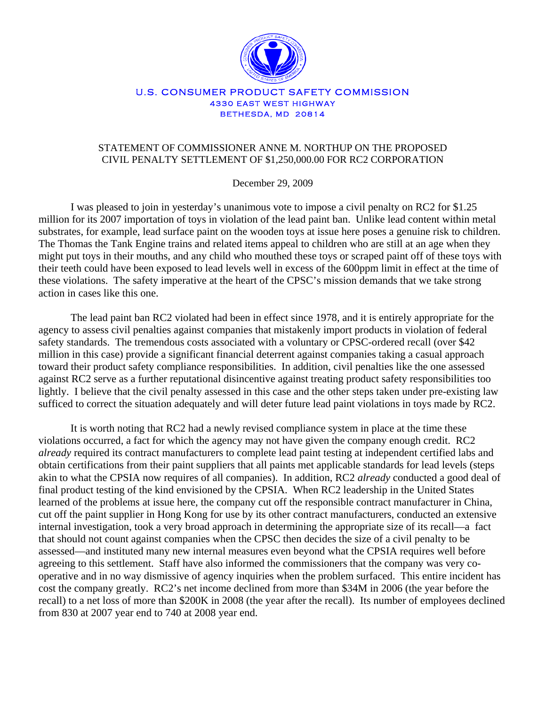

## U.S. CONSUMER PRODUCT SAFETY COMMISSION 4330 EAST WEST HIGHWAY BETHESDA, MD 20814

## STATEMENT OF COMMISSIONER ANNE M. NORTHUP ON THE PROPOSED CIVIL PENALTY SETTLEMENT OF \$1,250,000.00 FOR RC2 CORPORATION

December 29, 2009

I was pleased to join in yesterday's unanimous vote to impose a civil penalty on RC2 for \$1.25 million for its 2007 importation of toys in violation of the lead paint ban. Unlike lead content within metal substrates, for example, lead surface paint on the wooden toys at issue here poses a genuine risk to children. The Thomas the Tank Engine trains and related items appeal to children who are still at an age when they might put toys in their mouths, and any child who mouthed these toys or scraped paint off of these toys with their teeth could have been exposed to lead levels well in excess of the 600ppm limit in effect at the time of these violations. The safety imperative at the heart of the CPSC's mission demands that we take strong action in cases like this one.

The lead paint ban RC2 violated had been in effect since 1978, and it is entirely appropriate for the agency to assess civil penalties against companies that mistakenly import products in violation of federal safety standards. The tremendous costs associated with a voluntary or CPSC-ordered recall (over \$42 million in this case) provide a significant financial deterrent against companies taking a casual approach toward their product safety compliance responsibilities. In addition, civil penalties like the one assessed against RC2 serve as a further reputational disincentive against treating product safety responsibilities too lightly. I believe that the civil penalty assessed in this case and the other steps taken under pre-existing law sufficed to correct the situation adequately and will deter future lead paint violations in toys made by RC2.

It is worth noting that RC2 had a newly revised compliance system in place at the time these violations occurred, a fact for which the agency may not have given the company enough credit. RC2 *already* required its contract manufacturers to complete lead paint testing at independent certified labs and obtain certifications from their paint suppliers that all paints met applicable standards for lead levels (steps akin to what the CPSIA now requires of all companies). In addition, RC2 *already* conducted a good deal of final product testing of the kind envisioned by the CPSIA. When RC2 leadership in the United States learned of the problems at issue here, the company cut off the responsible contract manufacturer in China, cut off the paint supplier in Hong Kong for use by its other contract manufacturers, conducted an extensive internal investigation, took a very broad approach in determining the appropriate size of its recall—a fact that should not count against companies when the CPSC then decides the size of a civil penalty to be assessed—and instituted many new internal measures even beyond what the CPSIA requires well before agreeing to this settlement. Staff have also informed the commissioners that the company was very cooperative and in no way dismissive of agency inquiries when the problem surfaced. This entire incident has cost the company greatly. RC2's net income declined from more than \$34M in 2006 (the year before the recall) to a net loss of more than \$200K in 2008 (the year after the recall). Its number of employees declined from 830 at 2007 year end to 740 at 2008 year end.